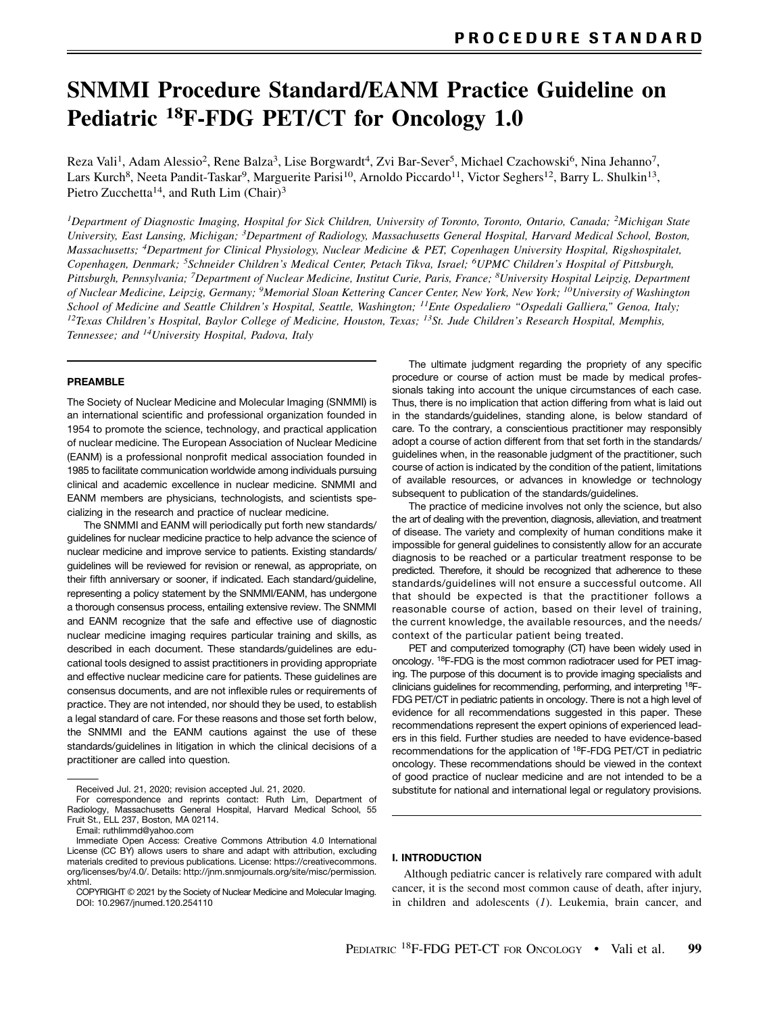# SNMMI Procedure Standard/EANM Practice Guideline on Pediatric 18F-FDG PET/CT for Oncology 1.0

Reza Vali<sup>1</sup>, Adam Alessio<sup>2</sup>, Rene Balza<sup>3</sup>, Lise Borgwardt<sup>4</sup>, Zvi Bar-Sever<sup>5</sup>, Michael Czachowski<sup>6</sup>, Nina Jehanno<sup>7</sup>, Lars Kurch<sup>8</sup>, Neeta Pandit-Taskar<sup>9</sup>, Marguerite Parisi<sup>10</sup>, Arnoldo Piccardo<sup>11</sup>, Victor Seghers<sup>12</sup>, Barry L. Shulkin<sup>13</sup>, Pietro Zucchetta<sup>14</sup>, and Ruth Lim (Chair)<sup>3</sup>

<sup>1</sup>Department of Diagnostic Imaging, Hospital for Sick Children, University of Toronto, Toronto, Ontario, Canada; <sup>2</sup>Michigan State University, East Lansing, Michigan; 3Department of Radiology, Massachusetts General Hospital, Harvard Medical School, Boston, Massachusetts; 4Department for Clinical Physiology, Nuclear Medicine & PET, Copenhagen University Hospital, Rigshospitalet, Copenhagen, Denmark; 5Schneider Children's Medical Center, Petach Tikva, Israel; 6UPMC Children's Hospital of Pittsburgh, Pittsburgh, Pennsylvania; <sup>7</sup>Department of Nuclear Medicine, Institut Curie, Paris, France; <sup>8</sup>University Hospital Leipzig, Department of Nuclear Medicine, Leipzig, Germany; 9Memorial Sloan Kettering Cancer Center, New York, New York; 10University of Washington School of Medicine and Seattle Children's Hospital, Seattle, Washington; <sup>11</sup>Ente Ospedaliero "Ospedali Galliera," Genoa, Italy; <sup>12</sup>Texas Children's Hospital, Baylor College of Medicine, Houston, Texas; <sup>13</sup>St. Jude Children's Research Hospital, Memphis, Tennessee; and <sup>14</sup>University Hospital, Padova, Italy

### PREAMBLE

The Society of Nuclear Medicine and Molecular Imaging (SNMMI) is an international scientific and professional organization founded in 1954 to promote the science, technology, and practical application of nuclear medicine. The European Association of Nuclear Medicine (EANM) is a professional nonprofit medical association founded in 1985 to facilitate communication worldwide among individuals pursuing clinical and academic excellence in nuclear medicine. SNMMI and EANM members are physicians, technologists, and scientists specializing in the research and practice of nuclear medicine.

The SNMMI and EANM will periodically put forth new standards/ guidelines for nuclear medicine practice to help advance the science of nuclear medicine and improve service to patients. Existing standards/ guidelines will be reviewed for revision or renewal, as appropriate, on their fifth anniversary or sooner, if indicated. Each standard/guideline, representing a policy statement by the SNMMI/EANM, has undergone a thorough consensus process, entailing extensive review. The SNMMI and EANM recognize that the safe and effective use of diagnostic nuclear medicine imaging requires particular training and skills, as described in each document. These standards/guidelines are educational tools designed to assist practitioners in providing appropriate and effective nuclear medicine care for patients. These guidelines are consensus documents, and are not inflexible rules or requirements of practice. They are not intended, nor should they be used, to establish a legal standard of care. For these reasons and those set forth below, the SNMMI and the EANM cautions against the use of these standards/guidelines in litigation in which the clinical decisions of a practitioner are called into question.

The ultimate judgment regarding the propriety of any specific procedure or course of action must be made by medical professionals taking into account the unique circumstances of each case. Thus, there is no implication that action differing from what is laid out in the standards/guidelines, standing alone, is below standard of care. To the contrary, a conscientious practitioner may responsibly adopt a course of action different from that set forth in the standards/ guidelines when, in the reasonable judgment of the practitioner, such course of action is indicated by the condition of the patient, limitations of available resources, or advances in knowledge or technology subsequent to publication of the standards/guidelines.

The practice of medicine involves not only the science, but also the art of dealing with the prevention, diagnosis, alleviation, and treatment of disease. The variety and complexity of human conditions make it impossible for general guidelines to consistently allow for an accurate diagnosis to be reached or a particular treatment response to be predicted. Therefore, it should be recognized that adherence to these standards/guidelines will not ensure a successful outcome. All that should be expected is that the practitioner follows a reasonable course of action, based on their level of training, the current knowledge, the available resources, and the needs/ context of the particular patient being treated.

PET and computerized tomography (CT) have been widely used in oncology. 18F-FDG is the most common radiotracer used for PET imaging. The purpose of this document is to provide imaging specialists and clinicians guidelines for recommending, performing, and interpreting 18F-FDG PET/CT in pediatric patients in oncology. There is not a high level of evidence for all recommendations suggested in this paper. These recommendations represent the expert opinions of experienced leaders in this field. Further studies are needed to have evidence-based recommendations for the application of 18F-FDG PET/CT in pediatric oncology. These recommendations should be viewed in the context of good practice of nuclear medicine and are not intended to be a substitute for national and international legal or regulatory provisions.

# I. INTRODUCTION

Although pediatric cancer is relatively rare compared with adult cancer, it is the second most common cause of death, after injury, in children and adolescents (1). Leukemia, brain cancer, and

Received Jul. 21, 2020; revision accepted Jul. 21, 2020.

For correspondence and reprints contact: Ruth Lim, Department of Radiology, Massachusetts General Hospital, Harvard Medical School, 55 Fruit St., ELL 237, Boston, MA 02114.

Email: [ruthlimmd@yahoo.com](mailto:ruthlimmd@yahoo.com)

Immediate Open Access: Creative Commons Attribution 4.0 International License (CC BY) allows users to share and adapt with attribution, excluding materials credited to previous publications. License: [https://creativecommons.](https://creativecommons.org/licenses/by/4.0/) [org/licenses/by/4.0/](https://creativecommons.org/licenses/by/4.0/). Details[: http://jnm.snmjournals.org/site/misc/permission.](http://jnm.snmjournals.org/site/misc/permission.xhtml) [xhtml.](http://jnm.snmjournals.org/site/misc/permission.xhtml)

COPYRIGHT © 2021 by the Society of Nuclear Medicine and Molecular Imaging. DOI: 10.2967/jnumed.120.254110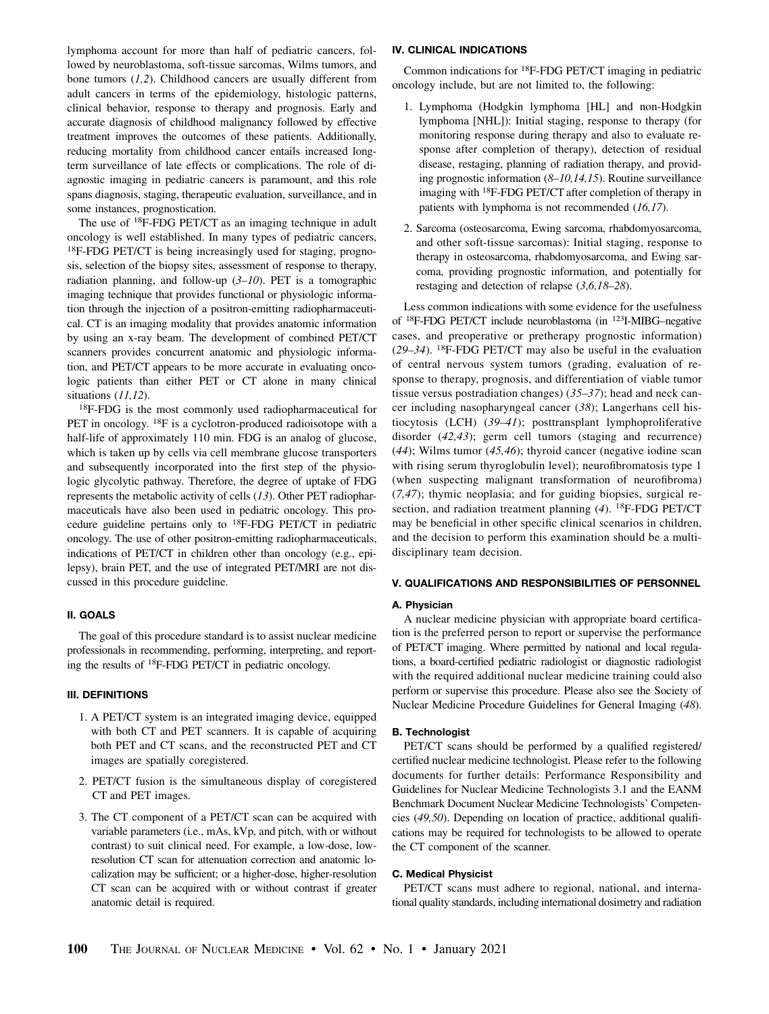lymphoma account for more than half of pediatric cancers, followed by neuroblastoma, soft-tissue sarcomas, Wilms tumors, and bone tumors  $(1,2)$ . Childhood cancers are usually different from adult cancers in terms of the epidemiology, histologic patterns, clinical behavior, response to therapy and prognosis. Early and accurate diagnosis of childhood malignancy followed by effective treatment improves the outcomes of these patients. Additionally, reducing mortality from childhood cancer entails increased longterm surveillance of late effects or complications. The role of diagnostic imaging in pediatric cancers is paramount, and this role spans diagnosis, staging, therapeutic evaluation, surveillance, and in some instances, prognostication.

The use of <sup>18</sup>F-FDG PET/CT as an imaging technique in adult oncology is well established. In many types of pediatric cancers, 18F-FDG PET/CT is being increasingly used for staging, prognosis, selection of the biopsy sites, assessment of response to therapy, radiation planning, and follow-up  $(3–10)$ . PET is a tomographic imaging technique that provides functional or physiologic information through the injection of a positron-emitting radiopharmaceutical. CT is an imaging modality that provides anatomic information by using an x-ray beam. The development of combined PET/CT scanners provides concurrent anatomic and physiologic information, and PET/CT appears to be more accurate in evaluating oncologic patients than either PET or CT alone in many clinical situations (11,12).

18F-FDG is the most commonly used radiopharmaceutical for PET in oncology. <sup>18</sup>F is a cyclotron-produced radioisotope with a half-life of approximately 110 min. FDG is an analog of glucose, which is taken up by cells via cell membrane glucose transporters and subsequently incorporated into the first step of the physiologic glycolytic pathway. Therefore, the degree of uptake of FDG represents the metabolic activity of cells (13). Other PET radiopharmaceuticals have also been used in pediatric oncology. This procedure guideline pertains only to 18F-FDG PET/CT in pediatric oncology. The use of other positron-emitting radiopharmaceuticals, indications of PET/CT in children other than oncology (e.g., epilepsy), brain PET, and the use of integrated PET/MRI are not discussed in this procedure guideline.

## II. GOALS

The goal of this procedure standard is to assist nuclear medicine professionals in recommending, performing, interpreting, and reporting the results of 18F-FDG PET/CT in pediatric oncology.

# III. DEFINITIONS

- 1. A PET/CT system is an integrated imaging device, equipped with both CT and PET scanners. It is capable of acquiring both PET and CT scans, and the reconstructed PET and CT images are spatially coregistered.
- 2. PET/CT fusion is the simultaneous display of coregistered CT and PET images.
- 3. The CT component of a PET/CT scan can be acquired with variable parameters (i.e., mAs, kVp, and pitch, with or without contrast) to suit clinical need. For example, a low-dose, lowresolution CT scan for attenuation correction and anatomic localization may be sufficient; or a higher-dose, higher-resolution CT scan can be acquired with or without contrast if greater anatomic detail is required.

#### IV. CLINICAL INDICATIONS

Common indications for 18F-FDG PET/CT imaging in pediatric oncology include, but are not limited to, the following:

- 1. Lymphoma (Hodgkin lymphoma [HL] and non-Hodgkin lymphoma [NHL]): Initial staging, response to therapy (for monitoring response during therapy and also to evaluate response after completion of therapy), detection of residual disease, restaging, planning of radiation therapy, and providing prognostic information (8–10,14,15). Routine surveillance imaging with 18F-FDG PET/CT after completion of therapy in patients with lymphoma is not recommended (16,17).
- 2. Sarcoma (osteosarcoma, Ewing sarcoma, rhabdomyosarcoma, and other soft-tissue sarcomas): Initial staging, response to therapy in osteosarcoma, rhabdomyosarcoma, and Ewing sarcoma, providing prognostic information, and potentially for restaging and detection of relapse (3,6,18–28).

Less common indications with some evidence for the usefulness of 18F-FDG PET/CT include neuroblastoma (in 123I-MIBG–negative cases, and preoperative or pretherapy prognostic information)  $(29-34)$ . <sup>18</sup>F-FDG PET/CT may also be useful in the evaluation of central nervous system tumors (grading, evaluation of response to therapy, prognosis, and differentiation of viable tumor tissue versus postradiation changes) (35–37); head and neck cancer including nasopharyngeal cancer (38); Langerhans cell histiocytosis (LCH) (39–41); posttransplant lymphoproliferative disorder (42,43); germ cell tumors (staging and recurrence)  $(44)$ ; Wilms tumor  $(45, 46)$ ; thyroid cancer (negative iodine scan with rising serum thyroglobulin level); neurofibromatosis type 1 (when suspecting malignant transformation of neurofibroma) (7,47); thymic neoplasia; and for guiding biopsies, surgical resection, and radiation treatment planning  $(4)$ . <sup>18</sup>F-FDG PET/CT may be beneficial in other specific clinical scenarios in children, and the decision to perform this examination should be a multidisciplinary team decision.

# V. QUALIFICATIONS AND RESPONSIBILITIES OF PERSONNEL

#### A. Physician

A nuclear medicine physician with appropriate board certification is the preferred person to report or supervise the performance of PET/CT imaging. Where permitted by national and local regulations, a board-certified pediatric radiologist or diagnostic radiologist with the required additional nuclear medicine training could also perform or supervise this procedure. Please also see the Society of Nuclear Medicine Procedure Guidelines for General Imaging (48).

#### B. Technologist

PET/CT scans should be performed by a qualified registered/ certified nuclear medicine technologist. Please refer to the following documents for further details: Performance Responsibility and Guidelines for Nuclear Medicine Technologists 3.1 and the EANM Benchmark Document Nuclear Medicine Technologists' Competencies (49,50). Depending on location of practice, additional qualifications may be required for technologists to be allowed to operate the CT component of the scanner.

#### C. Medical Physicist

PET/CT scans must adhere to regional, national, and international quality standards, including international dosimetry and radiation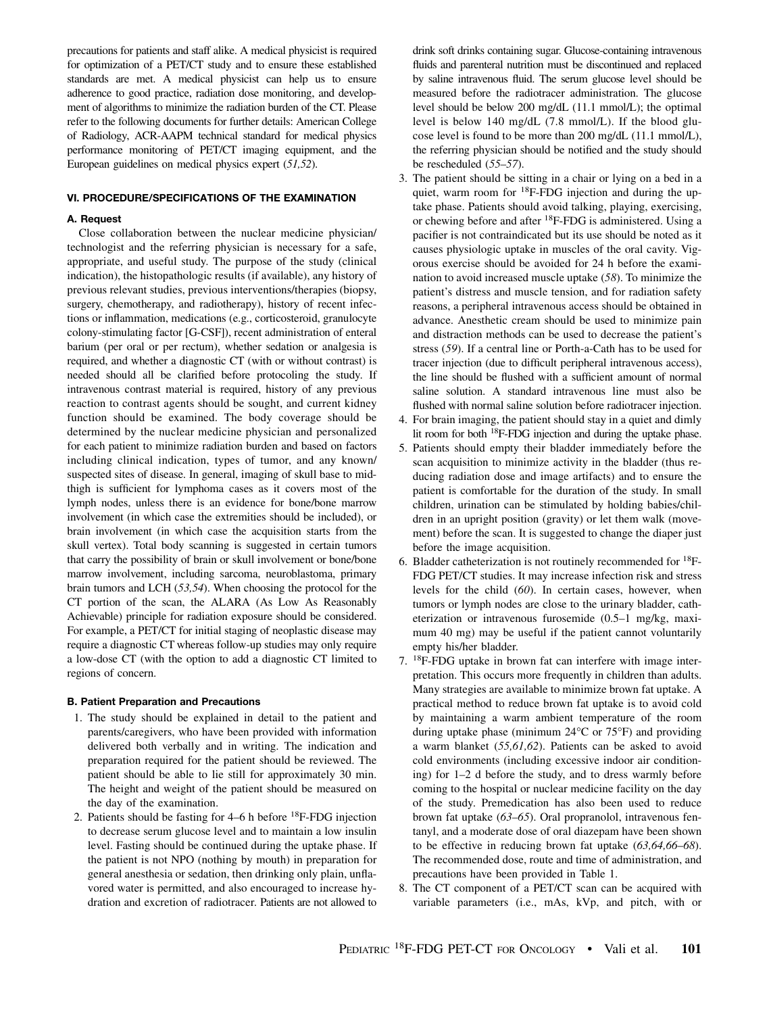precautions for patients and staff alike. A medical physicist is required for optimization of a PET/CT study and to ensure these established standards are met. A medical physicist can help us to ensure adherence to good practice, radiation dose monitoring, and development of algorithms to minimize the radiation burden of the CT. Please refer to the following documents for further details: American College of Radiology, ACR-AAPM technical standard for medical physics performance monitoring of PET/CT imaging equipment, and the European guidelines on medical physics expert (51,52).

## VI. PROCEDURE/SPECIFICATIONS OF THE EXAMINATION

# A. Request

Close collaboration between the nuclear medicine physician/ technologist and the referring physician is necessary for a safe, appropriate, and useful study. The purpose of the study (clinical indication), the histopathologic results (if available), any history of previous relevant studies, previous interventions/therapies (biopsy, surgery, chemotherapy, and radiotherapy), history of recent infections or inflammation, medications (e.g., corticosteroid, granulocyte colony-stimulating factor [G-CSF]), recent administration of enteral barium (per oral or per rectum), whether sedation or analgesia is required, and whether a diagnostic CT (with or without contrast) is needed should all be clarified before protocoling the study. If intravenous contrast material is required, history of any previous reaction to contrast agents should be sought, and current kidney function should be examined. The body coverage should be determined by the nuclear medicine physician and personalized for each patient to minimize radiation burden and based on factors including clinical indication, types of tumor, and any known/ suspected sites of disease. In general, imaging of skull base to midthigh is sufficient for lymphoma cases as it covers most of the lymph nodes, unless there is an evidence for bone/bone marrow involvement (in which case the extremities should be included), or brain involvement (in which case the acquisition starts from the skull vertex). Total body scanning is suggested in certain tumors that carry the possibility of brain or skull involvement or bone/bone marrow involvement, including sarcoma, neuroblastoma, primary brain tumors and LCH (53,54). When choosing the protocol for the CT portion of the scan, the ALARA (As Low As Reasonably Achievable) principle for radiation exposure should be considered. For example, a PET/CT for initial staging of neoplastic disease may require a diagnostic CT whereas follow-up studies may only require a low-dose CT (with the option to add a diagnostic CT limited to regions of concern.

# B. Patient Preparation and Precautions

- 1. The study should be explained in detail to the patient and parents/caregivers, who have been provided with information delivered both verbally and in writing. The indication and preparation required for the patient should be reviewed. The patient should be able to lie still for approximately 30 min. The height and weight of the patient should be measured on the day of the examination.
- 2. Patients should be fasting for  $4-6$  h before  $^{18}F$ -FDG injection to decrease serum glucose level and to maintain a low insulin level. Fasting should be continued during the uptake phase. If the patient is not NPO (nothing by mouth) in preparation for general anesthesia or sedation, then drinking only plain, unflavored water is permitted, and also encouraged to increase hydration and excretion of radiotracer. Patients are not allowed to

drink soft drinks containing sugar. Glucose-containing intravenous fluids and parenteral nutrition must be discontinued and replaced by saline intravenous fluid. The serum glucose level should be measured before the radiotracer administration. The glucose level should be below 200 mg/dL (11.1 mmol/L); the optimal level is below 140 mg/dL (7.8 mmol/L). If the blood glucose level is found to be more than 200 mg/dL (11.1 mmol/L), the referring physician should be notified and the study should be rescheduled (55–57).

- 3. The patient should be sitting in a chair or lying on a bed in a quiet, warm room for <sup>18</sup>F-FDG injection and during the uptake phase. Patients should avoid talking, playing, exercising, or chewing before and after 18F-FDG is administered. Using a pacifier is not contraindicated but its use should be noted as it causes physiologic uptake in muscles of the oral cavity. Vigorous exercise should be avoided for 24 h before the examination to avoid increased muscle uptake (58). To minimize the patient's distress and muscle tension, and for radiation safety reasons, a peripheral intravenous access should be obtained in advance. Anesthetic cream should be used to minimize pain and distraction methods can be used to decrease the patient's stress (59). If a central line or Porth-a-Cath has to be used for tracer injection (due to difficult peripheral intravenous access), the line should be flushed with a sufficient amount of normal saline solution. A standard intravenous line must also be flushed with normal saline solution before radiotracer injection.
- 4. For brain imaging, the patient should stay in a quiet and dimly lit room for both 18F-FDG injection and during the uptake phase.
- 5. Patients should empty their bladder immediately before the scan acquisition to minimize activity in the bladder (thus reducing radiation dose and image artifacts) and to ensure the patient is comfortable for the duration of the study. In small children, urination can be stimulated by holding babies/children in an upright position (gravity) or let them walk (movement) before the scan. It is suggested to change the diaper just before the image acquisition.
- 6. Bladder catheterization is not routinely recommended for 18F-FDG PET/CT studies. It may increase infection risk and stress levels for the child (60). In certain cases, however, when tumors or lymph nodes are close to the urinary bladder, catheterization or intravenous furosemide (0.5–1 mg/kg, maximum 40 mg) may be useful if the patient cannot voluntarily empty his/her bladder.
- 7. 18F-FDG uptake in brown fat can interfere with image interpretation. This occurs more frequently in children than adults. Many strategies are available to minimize brown fat uptake. A practical method to reduce brown fat uptake is to avoid cold by maintaining a warm ambient temperature of the room during uptake phase (minimum  $24^{\circ}$ C or  $75^{\circ}$ F) and providing a warm blanket (55,61,62). Patients can be asked to avoid cold environments (including excessive indoor air conditioning) for 1–2 d before the study, and to dress warmly before coming to the hospital or nuclear medicine facility on the day of the study. Premedication has also been used to reduce brown fat uptake (63–65). Oral propranolol, intravenous fentanyl, and a moderate dose of oral diazepam have been shown to be effective in reducing brown fat uptake (63,64,66–68). The recommended dose, route and time of administration, and precautions have been provided in Table 1.
- 8. The CT component of a PET/CT scan can be acquired with variable parameters (i.e., mAs, kVp, and pitch, with or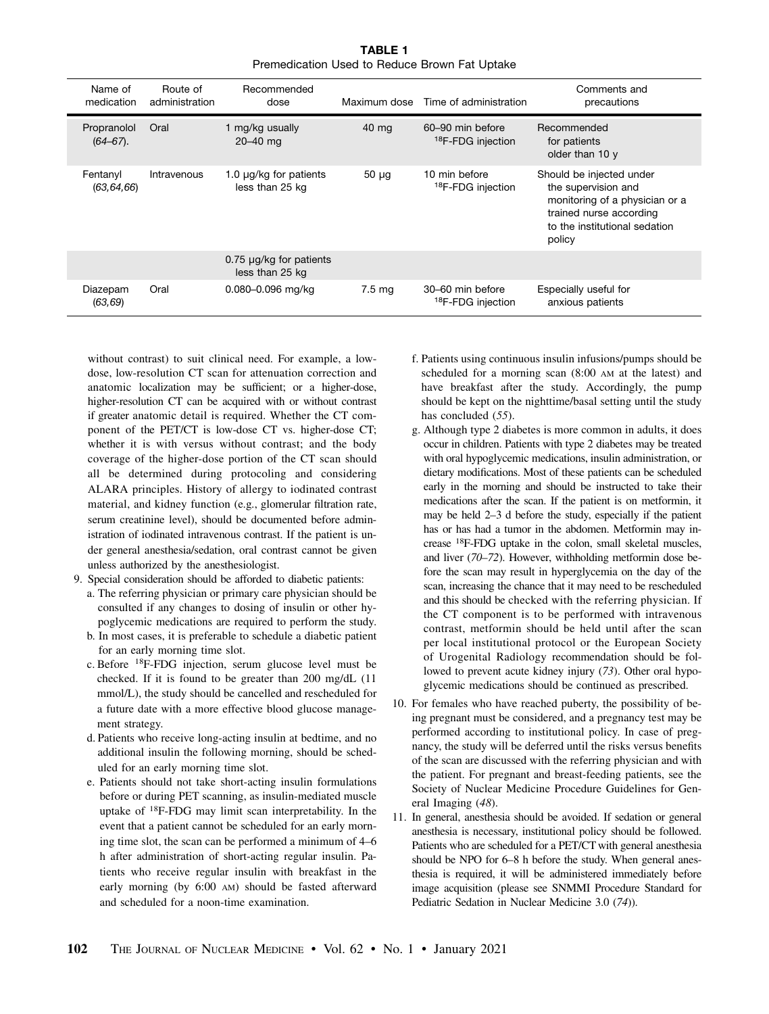TABLE 1 Premedication Used to Reduce Brown Fat Uptake

|  | Name of<br>medication        | Route of<br>administration | Recommended<br>dose                             |                  | Maximum dose Time of administration               | Comments and<br>precautions                                                                                                                             |
|--|------------------------------|----------------------------|-------------------------------------------------|------------------|---------------------------------------------------|---------------------------------------------------------------------------------------------------------------------------------------------------------|
|  | Propranolol<br>$(64 - 67)$ . | Oral                       | 1 mg/kg usually<br>$20 - 40$ mg                 | 40 mg            | 60-90 min before<br><sup>18</sup> F-FDG injection | Recommended<br>for patients<br>older than 10 y                                                                                                          |
|  | Fentanyl<br>(63, 64, 66)     | Intravenous                | 1.0 $\mu$ g/kg for patients<br>less than 25 kg  | $50 \mu g$       | 10 min before<br><sup>18</sup> F-FDG injection    | Should be injected under<br>the supervision and<br>monitoring of a physician or a<br>trained nurse according<br>to the institutional sedation<br>policy |
|  |                              |                            | $0.75 \mu g/kg$ for patients<br>less than 25 kg |                  |                                                   |                                                                                                                                                         |
|  | Diazepam<br>(63, 69)         | Oral                       | 0.080-0.096 mg/kg                               | $7.5 \text{ mg}$ | 30–60 min before<br><sup>18</sup> F-FDG injection | Especially useful for<br>anxious patients                                                                                                               |

without contrast) to suit clinical need. For example, a lowdose, low-resolution CT scan for attenuation correction and anatomic localization may be sufficient; or a higher-dose, higher-resolution CT can be acquired with or without contrast if greater anatomic detail is required. Whether the CT component of the PET/CT is low-dose CT vs. higher-dose CT; whether it is with versus without contrast; and the body coverage of the higher-dose portion of the CT scan should all be determined during protocoling and considering ALARA principles. History of allergy to iodinated contrast material, and kidney function (e.g., glomerular filtration rate, serum creatinine level), should be documented before administration of iodinated intravenous contrast. If the patient is under general anesthesia/sedation, oral contrast cannot be given unless authorized by the anesthesiologist.

- 9. Special consideration should be afforded to diabetic patients:
	- a. The referring physician or primary care physician should be consulted if any changes to dosing of insulin or other hypoglycemic medications are required to perform the study.
	- b. In most cases, it is preferable to schedule a diabetic patient for an early morning time slot.
	- c. Before 18F-FDG injection, serum glucose level must be checked. If it is found to be greater than 200 mg/dL (11 mmol/L), the study should be cancelled and rescheduled for a future date with a more effective blood glucose management strategy.
	- d. Patients who receive long-acting insulin at bedtime, and no additional insulin the following morning, should be scheduled for an early morning time slot.
	- e. Patients should not take short-acting insulin formulations before or during PET scanning, as insulin-mediated muscle uptake of 18F-FDG may limit scan interpretability. In the event that a patient cannot be scheduled for an early morning time slot, the scan can be performed a minimum of 4–6 h after administration of short-acting regular insulin. Patients who receive regular insulin with breakfast in the early morning (by 6:00 AM) should be fasted afterward and scheduled for a noon-time examination.
- f. Patients using continuous insulin infusions/pumps should be scheduled for a morning scan (8:00 AM at the latest) and have breakfast after the study. Accordingly, the pump should be kept on the nighttime/basal setting until the study has concluded (55).
- g. Although type 2 diabetes is more common in adults, it does occur in children. Patients with type 2 diabetes may be treated with oral hypoglycemic medications, insulin administration, or dietary modifications. Most of these patients can be scheduled early in the morning and should be instructed to take their medications after the scan. If the patient is on metformin, it may be held 2–3 d before the study, especially if the patient has or has had a tumor in the abdomen. Metformin may increase 18F-FDG uptake in the colon, small skeletal muscles, and liver (70–72). However, withholding metformin dose before the scan may result in hyperglycemia on the day of the scan, increasing the chance that it may need to be rescheduled and this should be checked with the referring physician. If the CT component is to be performed with intravenous contrast, metformin should be held until after the scan per local institutional protocol or the European Society of Urogenital Radiology recommendation should be followed to prevent acute kidney injury (73). Other oral hypoglycemic medications should be continued as prescribed.
- 10. For females who have reached puberty, the possibility of being pregnant must be considered, and a pregnancy test may be performed according to institutional policy. In case of pregnancy, the study will be deferred until the risks versus benefits of the scan are discussed with the referring physician and with the patient. For pregnant and breast-feeding patients, see the Society of Nuclear Medicine Procedure Guidelines for General Imaging (48).
- 11. In general, anesthesia should be avoided. If sedation or general anesthesia is necessary, institutional policy should be followed. Patients who are scheduled for a PET/CT with general anesthesia should be NPO for 6–8 h before the study. When general anesthesia is required, it will be administered immediately before image acquisition (please see SNMMI Procedure Standard for Pediatric Sedation in Nuclear Medicine 3.0 (74)).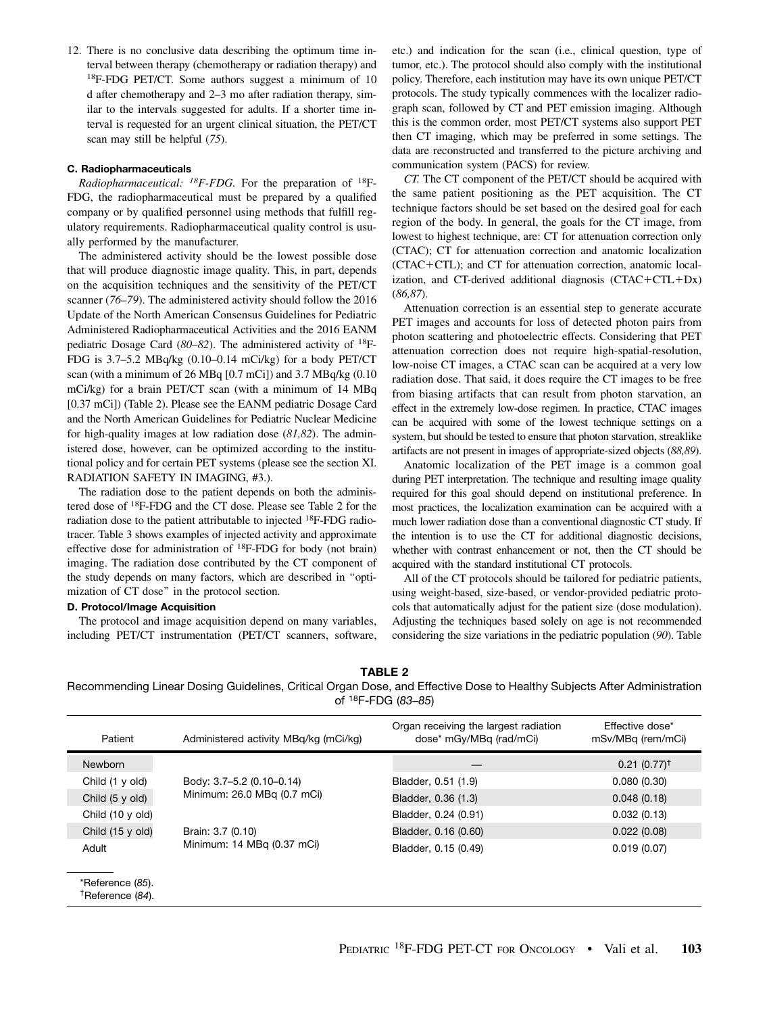12. There is no conclusive data describing the optimum time interval between therapy (chemotherapy or radiation therapy) and 18F-FDG PET/CT. Some authors suggest a minimum of 10 d after chemotherapy and 2–3 mo after radiation therapy, similar to the intervals suggested for adults. If a shorter time interval is requested for an urgent clinical situation, the PET/CT scan may still be helpful (75).

# C. Radiopharmaceuticals

*Radiopharmaceutical:* <sup>18</sup>F-FDG. For the preparation of <sup>18</sup>F-FDG, the radiopharmaceutical must be prepared by a qualified company or by qualified personnel using methods that fulfill regulatory requirements. Radiopharmaceutical quality control is usually performed by the manufacturer.

The administered activity should be the lowest possible dose that will produce diagnostic image quality. This, in part, depends on the acquisition techniques and the sensitivity of the PET/CT scanner (76–79). The administered activity should follow the 2016 Update of the North American Consensus Guidelines for Pediatric Administered Radiopharmaceutical Activities and the 2016 EANM pediatric Dosage Card (80–82). The administered activity of 18F-FDG is 3.7–5.2 MBq/kg (0.10–0.14 mCi/kg) for a body PET/CT scan (with a minimum of 26 MBq [0.7 mCi]) and 3.7 MBq/kg (0.10 mCi/kg) for a brain PET/CT scan (with a minimum of 14 MBq [0.37 mCi]) (Table 2). Please see the EANM pediatric Dosage Card and the North American Guidelines for Pediatric Nuclear Medicine for high-quality images at low radiation dose  $(81,82)$ . The administered dose, however, can be optimized according to the institutional policy and for certain PET systems (please see the section XI. RADIATION SAFETY IN IMAGING, #3.).

The radiation dose to the patient depends on both the administered dose of 18F-FDG and the CT dose. Please see Table 2 for the radiation dose to the patient attributable to injected 18F-FDG radiotracer. Table 3 shows examples of injected activity and approximate effective dose for administration of 18F-FDG for body (not brain) imaging. The radiation dose contributed by the CT component of the study depends on many factors, which are described in ''optimization of CT dose'' in the protocol section.

# D. Protocol/Image Acquisition

The protocol and image acquisition depend on many variables, including PET/CT instrumentation (PET/CT scanners, software, etc.) and indication for the scan (i.e., clinical question, type of tumor, etc.). The protocol should also comply with the institutional policy. Therefore, each institution may have its own unique PET/CT protocols. The study typically commences with the localizer radiograph scan, followed by CT and PET emission imaging. Although this is the common order, most PET/CT systems also support PET then CT imaging, which may be preferred in some settings. The data are reconstructed and transferred to the picture archiving and communication system (PACS) for review.

CT. The CT component of the PET/CT should be acquired with the same patient positioning as the PET acquisition. The CT technique factors should be set based on the desired goal for each region of the body. In general, the goals for the CT image, from lowest to highest technique, are: CT for attenuation correction only (CTAC); CT for attenuation correction and anatomic localization  $(CTAC+CTL)$ ; and CT for attenuation correction, anatomic localization, and CT-derived additional diagnosis  $(CTAC+CTL+Dx)$ (86,87).

Attenuation correction is an essential step to generate accurate PET images and accounts for loss of detected photon pairs from photon scattering and photoelectric effects. Considering that PET attenuation correction does not require high-spatial-resolution, low-noise CT images, a CTAC scan can be acquired at a very low radiation dose. That said, it does require the CT images to be free from biasing artifacts that can result from photon starvation, an effect in the extremely low-dose regimen. In practice, CTAC images can be acquired with some of the lowest technique settings on a system, but should be tested to ensure that photon starvation, streaklike artifacts are not present in images of appropriate-sized objects (88,89).

Anatomic localization of the PET image is a common goal during PET interpretation. The technique and resulting image quality required for this goal should depend on institutional preference. In most practices, the localization examination can be acquired with a much lower radiation dose than a conventional diagnostic CT study. If the intention is to use the CT for additional diagnostic decisions, whether with contrast enhancement or not, then the CT should be acquired with the standard institutional CT protocols.

All of the CT protocols should be tailored for pediatric patients, using weight-based, size-based, or vendor-provided pediatric protocols that automatically adjust for the patient size (dose modulation). Adjusting the techniques based solely on age is not recommended considering the size variations in the pediatric population (90). Table

TABLE 2

Recommending Linear Dosing Guidelines, Critical Organ Dose, and Effective Dose to Healthy Subjects After Administration of 18F-FDG (*83*–*85*)

| Patient                                          | Administered activity MBq/kg (mCi/kg)                    | Organ receiving the largest radiation<br>dose* mGy/MBq (rad/mCi) | Effective dose*<br>mSv/MBg (rem/mCi) |
|--------------------------------------------------|----------------------------------------------------------|------------------------------------------------------------------|--------------------------------------|
| <b>Newborn</b>                                   |                                                          |                                                                  | $0.21(0.77)^{\dagger}$               |
| Child (1 y old)                                  | Body: 3.7-5.2 (0.10-0.14)<br>Minimum: 26.0 MBq (0.7 mCi) | Bladder, 0.51 (1.9)                                              | 0.080(0.30)                          |
| Child (5 y old)                                  |                                                          | Bladder, 0.36 (1.3)                                              | 0.048(0.18)                          |
| Child (10 y old)                                 |                                                          | Bladder, 0.24 (0.91)                                             | 0.032(0.13)                          |
| Child (15 y old)                                 | Brain: 3.7 (0.10)<br>Minimum: 14 MBq (0.37 mCi)          | Bladder, 0.16 (0.60)                                             | 0.022(0.08)                          |
| Adult                                            |                                                          | Bladder, 0.15 (0.49)                                             | 0.019(0.07)                          |
|                                                  |                                                          |                                                                  |                                      |
| *Reference (85).<br><sup>†</sup> Reference (84). |                                                          |                                                                  |                                      |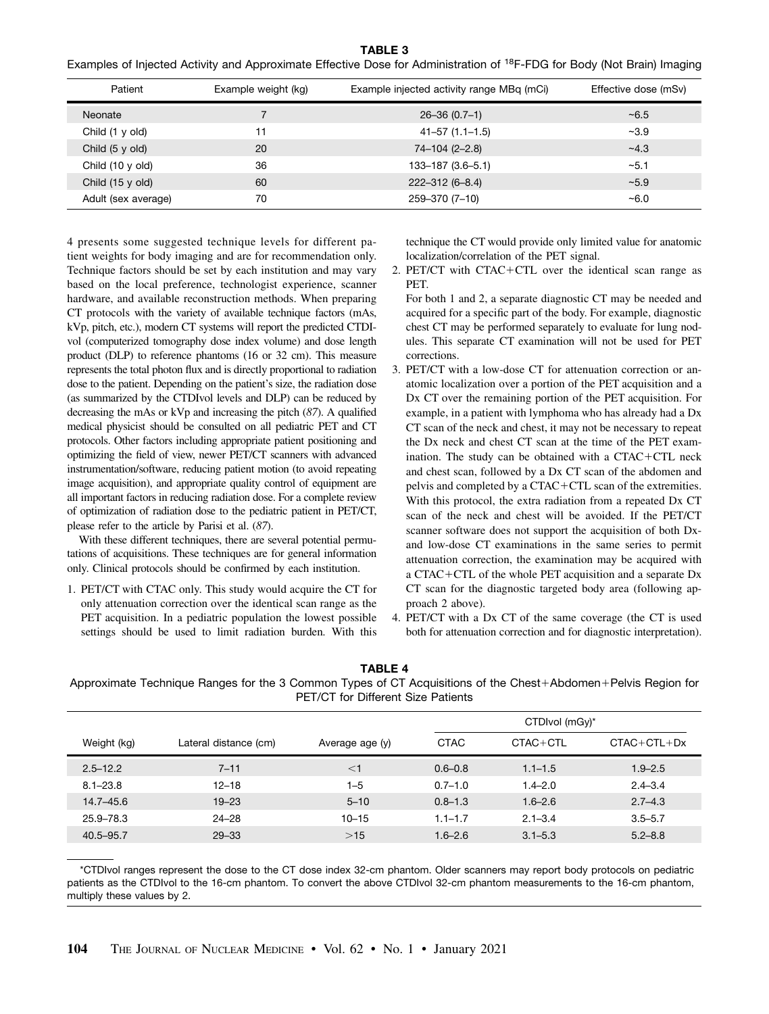TABLE 3

|  | Examples of Injected Activity and Approximate Effective Dose for Administration of <sup>18</sup> F-FDG for Body (Not Brain) Imaging |  |
|--|-------------------------------------------------------------------------------------------------------------------------------------|--|
|--|-------------------------------------------------------------------------------------------------------------------------------------|--|

| Patient              | Example weight (kg) | Example injected activity range MBq (mCi) | Effective dose (mSv) |
|----------------------|---------------------|-------------------------------------------|----------------------|
| Neonate              |                     | $26 - 36(0.7 - 1)$                        | ~10.5                |
| Child (1 y old)      | 11                  | $41 - 57$ $(1.1 - 1.5)$                   | $-3.9$               |
| Child $(5 \vee$ old) | 20                  | 74-104 (2-2.8)                            | $-4.3$               |
| Child (10 y old)     | 36                  | $133 - 187(3.6 - 5.1)$                    | $-5.1$               |
| Child (15 y old)     | 60                  | $222 - 312(6 - 8.4)$                      | $-5.9$               |
| Adult (sex average)  | 70                  | 259-370 (7-10)                            | $-6.0$               |

4 presents some suggested technique levels for different patient weights for body imaging and are for recommendation only. Technique factors should be set by each institution and may vary based on the local preference, technologist experience, scanner hardware, and available reconstruction methods. When preparing CT protocols with the variety of available technique factors (mAs, kVp, pitch, etc.), modern CT systems will report the predicted CTDIvol (computerized tomography dose index volume) and dose length product (DLP) to reference phantoms (16 or 32 cm). This measure represents the total photon flux and is directly proportional to radiation dose to the patient. Depending on the patient's size, the radiation dose (as summarized by the CTDIvol levels and DLP) can be reduced by decreasing the mAs or kVp and increasing the pitch (87). A qualified medical physicist should be consulted on all pediatric PET and CT protocols. Other factors including appropriate patient positioning and optimizing the field of view, newer PET/CT scanners with advanced instrumentation/software, reducing patient motion (to avoid repeating image acquisition), and appropriate quality control of equipment are all important factors in reducing radiation dose. For a complete review of optimization of radiation dose to the pediatric patient in PET/CT, please refer to the article by Parisi et al. (87).

With these different techniques, there are several potential permutations of acquisitions. These techniques are for general information only. Clinical protocols should be confirmed by each institution.

1. PET/CT with CTAC only. This study would acquire the CT for only attenuation correction over the identical scan range as the PET acquisition. In a pediatric population the lowest possible settings should be used to limit radiation burden. With this

technique the CT would provide only limited value for anatomic localization/correlation of the PET signal.

2. PET/CT with  $CTAC+CTL$  over the identical scan range as PET.

For both 1 and 2, a separate diagnostic CT may be needed and acquired for a specific part of the body. For example, diagnostic chest CT may be performed separately to evaluate for lung nodules. This separate CT examination will not be used for PET corrections.

- 3. PET/CT with a low-dose CT for attenuation correction or anatomic localization over a portion of the PET acquisition and a Dx CT over the remaining portion of the PET acquisition. For example, in a patient with lymphoma who has already had a Dx CT scan of the neck and chest, it may not be necessary to repeat the Dx neck and chest CT scan at the time of the PET examination. The study can be obtained with a  $CTAC+CTL$  neck and chest scan, followed by a Dx CT scan of the abdomen and pelvis and completed by a CTAC+CTL scan of the extremities. With this protocol, the extra radiation from a repeated Dx CT scan of the neck and chest will be avoided. If the PET/CT scanner software does not support the acquisition of both Dxand low-dose CT examinations in the same series to permit attenuation correction, the examination may be acquired with a CTAC+CTL of the whole PET acquisition and a separate  $Dx$ CT scan for the diagnostic targeted body area (following approach 2 above).
- 4. PET/CT with a Dx CT of the same coverage (the CT is used both for attenuation correction and for diagnostic interpretation).

TABLE 4 Approximate Technique Ranges for the 3 Common Types of CT Acquisitions of the Chest+Abdomen+Pelvis Region for PET/CT for Different Size Patients

|               |                       |                 |             | CTDIvol (mGy)* |               |  |
|---------------|-----------------------|-----------------|-------------|----------------|---------------|--|
| Weight (kg)   | Lateral distance (cm) | Average age (y) | <b>CTAC</b> | $CTAC+CTL$     | $CTAC+CTL+Dx$ |  |
| $2.5 - 12.2$  | $7 - 11$              | $<$ 1           | $0.6 - 0.8$ | $1.1 - 1.5$    | $1.9 - 2.5$   |  |
| $8.1 - 23.8$  | $12 - 18$             | $1 - 5$         | $0.7 - 1.0$ | $1.4 - 2.0$    | $2.4 - 3.4$   |  |
| $14.7 - 45.6$ | $19 - 23$             | $5 - 10$        | $0.8 - 1.3$ | $1.6 - 2.6$    | $2.7 - 4.3$   |  |
| 25.9–78.3     | $24 - 28$             | $10 - 15$       | $1.1 - 1.7$ | $2.1 - 3.4$    | $3.5 - 5.7$   |  |
| 40.5-95.7     | $29 - 33$             | $>15$           | $1.6 - 2.6$ | $3.1 - 5.3$    | $5.2 - 8.8$   |  |

\*CTDIvol ranges represent the dose to the CT dose index 32-cm phantom. Older scanners may report body protocols on pediatric patients as the CTDIvol to the 16-cm phantom. To convert the above CTDIvol 32-cm phantom measurements to the 16-cm phantom, multiply these values by 2.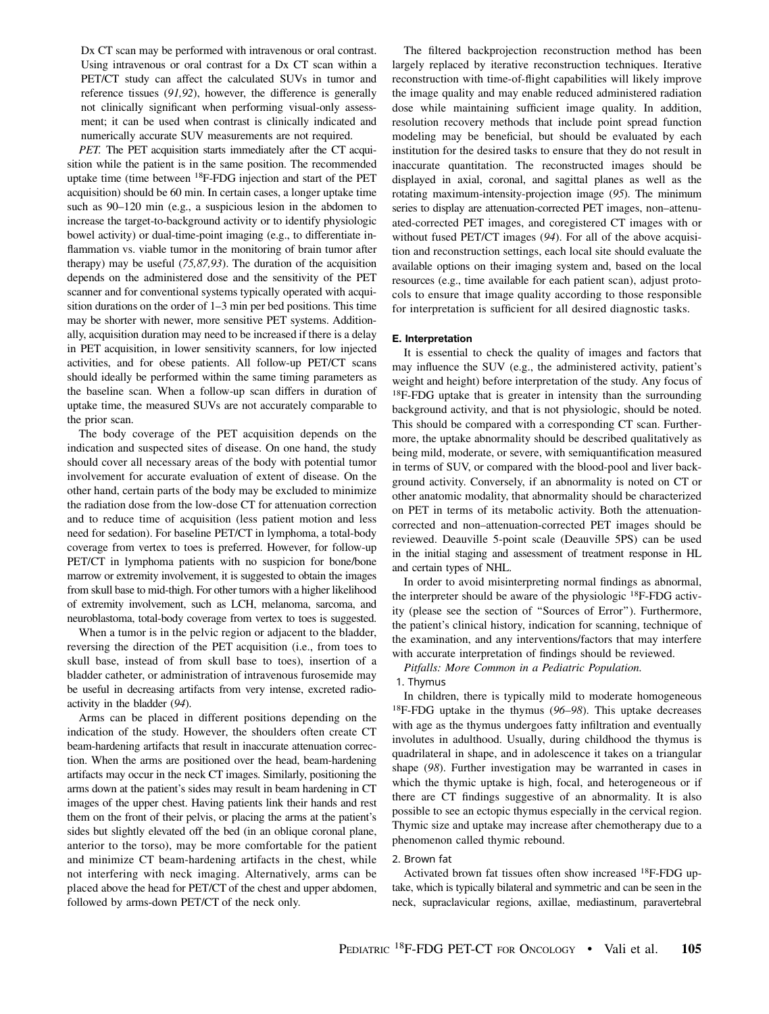Dx CT scan may be performed with intravenous or oral contrast. Using intravenous or oral contrast for a Dx CT scan within a PET/CT study can affect the calculated SUVs in tumor and reference tissues (91,92), however, the difference is generally not clinically significant when performing visual-only assessment; it can be used when contrast is clinically indicated and numerically accurate SUV measurements are not required.

PET. The PET acquisition starts immediately after the CT acquisition while the patient is in the same position. The recommended uptake time (time between 18F-FDG injection and start of the PET acquisition) should be 60 min. In certain cases, a longer uptake time such as 90–120 min (e.g., a suspicious lesion in the abdomen to increase the target-to-background activity or to identify physiologic bowel activity) or dual-time-point imaging (e.g., to differentiate inflammation vs. viable tumor in the monitoring of brain tumor after therapy) may be useful (75,87,93). The duration of the acquisition depends on the administered dose and the sensitivity of the PET scanner and for conventional systems typically operated with acquisition durations on the order of 1–3 min per bed positions. This time may be shorter with newer, more sensitive PET systems. Additionally, acquisition duration may need to be increased if there is a delay in PET acquisition, in lower sensitivity scanners, for low injected activities, and for obese patients. All follow-up PET/CT scans should ideally be performed within the same timing parameters as the baseline scan. When a follow-up scan differs in duration of uptake time, the measured SUVs are not accurately comparable to the prior scan.

The body coverage of the PET acquisition depends on the indication and suspected sites of disease. On one hand, the study should cover all necessary areas of the body with potential tumor involvement for accurate evaluation of extent of disease. On the other hand, certain parts of the body may be excluded to minimize the radiation dose from the low-dose CT for attenuation correction and to reduce time of acquisition (less patient motion and less need for sedation). For baseline PET/CT in lymphoma, a total-body coverage from vertex to toes is preferred. However, for follow-up PET/CT in lymphoma patients with no suspicion for bone/bone marrow or extremity involvement, it is suggested to obtain the images from skull base to mid-thigh. For other tumors with a higher likelihood of extremity involvement, such as LCH, melanoma, sarcoma, and neuroblastoma, total-body coverage from vertex to toes is suggested.

When a tumor is in the pelvic region or adjacent to the bladder, reversing the direction of the PET acquisition (i.e., from toes to skull base, instead of from skull base to toes), insertion of a bladder catheter, or administration of intravenous furosemide may be useful in decreasing artifacts from very intense, excreted radioactivity in the bladder (94).

Arms can be placed in different positions depending on the indication of the study. However, the shoulders often create CT beam-hardening artifacts that result in inaccurate attenuation correction. When the arms are positioned over the head, beam-hardening artifacts may occur in the neck CT images. Similarly, positioning the arms down at the patient's sides may result in beam hardening in CT images of the upper chest. Having patients link their hands and rest them on the front of their pelvis, or placing the arms at the patient's sides but slightly elevated off the bed (in an oblique coronal plane, anterior to the torso), may be more comfortable for the patient and minimize CT beam-hardening artifacts in the chest, while not interfering with neck imaging. Alternatively, arms can be placed above the head for PET/CT of the chest and upper abdomen, followed by arms-down PET/CT of the neck only.

The filtered backprojection reconstruction method has been largely replaced by iterative reconstruction techniques. Iterative reconstruction with time-of-flight capabilities will likely improve the image quality and may enable reduced administered radiation dose while maintaining sufficient image quality. In addition, resolution recovery methods that include point spread function modeling may be beneficial, but should be evaluated by each institution for the desired tasks to ensure that they do not result in inaccurate quantitation. The reconstructed images should be displayed in axial, coronal, and sagittal planes as well as the rotating maximum-intensity-projection image (95). The minimum series to display are attenuation-corrected PET images, non–attenuated-corrected PET images, and coregistered CT images with or without fused PET/CT images (94). For all of the above acquisition and reconstruction settings, each local site should evaluate the available options on their imaging system and, based on the local resources (e.g., time available for each patient scan), adjust protocols to ensure that image quality according to those responsible for interpretation is sufficient for all desired diagnostic tasks.

# E. Interpretation

It is essential to check the quality of images and factors that may influence the SUV (e.g., the administered activity, patient's weight and height) before interpretation of the study. Any focus of 18F-FDG uptake that is greater in intensity than the surrounding background activity, and that is not physiologic, should be noted. This should be compared with a corresponding CT scan. Furthermore, the uptake abnormality should be described qualitatively as being mild, moderate, or severe, with semiquantification measured in terms of SUV, or compared with the blood-pool and liver background activity. Conversely, if an abnormality is noted on CT or other anatomic modality, that abnormality should be characterized on PET in terms of its metabolic activity. Both the attenuationcorrected and non–attenuation-corrected PET images should be reviewed. Deauville 5-point scale (Deauville 5PS) can be used in the initial staging and assessment of treatment response in HL and certain types of NHL.

In order to avoid misinterpreting normal findings as abnormal, the interpreter should be aware of the physiologic <sup>18</sup>F-FDG activity (please see the section of ''Sources of Error''). Furthermore, the patient's clinical history, indication for scanning, technique of the examination, and any interventions/factors that may interfere with accurate interpretation of findings should be reviewed.

Pitfalls: More Common in a Pediatric Population.

#### 1. Thymus

In children, there is typically mild to moderate homogeneous  $18$ F-FDG uptake in the thymus (96–98). This uptake decreases with age as the thymus undergoes fatty infiltration and eventually involutes in adulthood. Usually, during childhood the thymus is quadrilateral in shape, and in adolescence it takes on a triangular shape (98). Further investigation may be warranted in cases in which the thymic uptake is high, focal, and heterogeneous or if there are CT findings suggestive of an abnormality. It is also possible to see an ectopic thymus especially in the cervical region. Thymic size and uptake may increase after chemotherapy due to a phenomenon called thymic rebound.

# 2. Brown fat

Activated brown fat tissues often show increased 18F-FDG uptake, which is typically bilateral and symmetric and can be seen in the neck, supraclavicular regions, axillae, mediastinum, paravertebral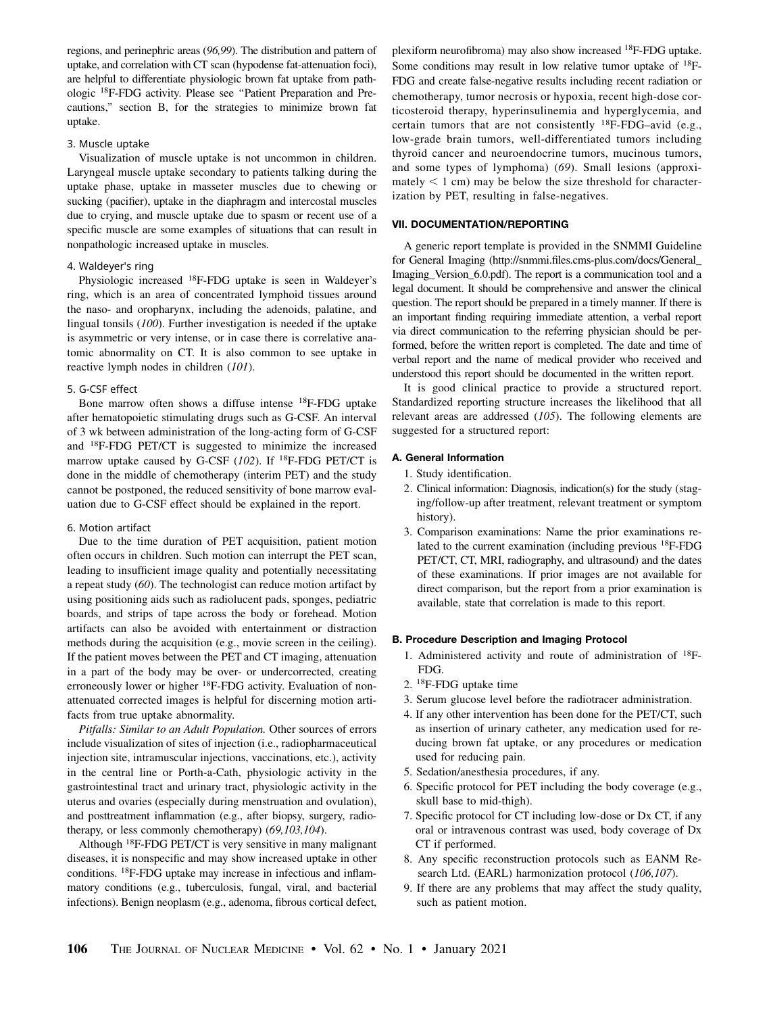regions, and perinephric areas (96,99). The distribution and pattern of uptake, and correlation with CT scan (hypodense fat-attenuation foci), are helpful to differentiate physiologic brown fat uptake from pathologic 18F-FDG activity. Please see ''Patient Preparation and Precautions,'' section B, for the strategies to minimize brown fat uptake.

#### 3. Muscle uptake

Visualization of muscle uptake is not uncommon in children. Laryngeal muscle uptake secondary to patients talking during the uptake phase, uptake in masseter muscles due to chewing or sucking (pacifier), uptake in the diaphragm and intercostal muscles due to crying, and muscle uptake due to spasm or recent use of a specific muscle are some examples of situations that can result in nonpathologic increased uptake in muscles.

# 4. Waldeyer's ring

Physiologic increased 18F-FDG uptake is seen in Waldeyer's ring, which is an area of concentrated lymphoid tissues around the naso- and oropharynx, including the adenoids, palatine, and lingual tonsils (100). Further investigation is needed if the uptake is asymmetric or very intense, or in case there is correlative anatomic abnormality on CT. It is also common to see uptake in reactive lymph nodes in children (101).

# 5. G-CSF effect

Bone marrow often shows a diffuse intense 18F-FDG uptake after hematopoietic stimulating drugs such as G-CSF. An interval of 3 wk between administration of the long-acting form of G-CSF and 18F-FDG PET/CT is suggested to minimize the increased marrow uptake caused by G-CSF ( $102$ ). If <sup>18</sup>F-FDG PET/CT is done in the middle of chemotherapy (interim PET) and the study cannot be postponed, the reduced sensitivity of bone marrow evaluation due to G-CSF effect should be explained in the report.

#### 6. Motion artifact

Due to the time duration of PET acquisition, patient motion often occurs in children. Such motion can interrupt the PET scan, leading to insufficient image quality and potentially necessitating a repeat study (60). The technologist can reduce motion artifact by using positioning aids such as radiolucent pads, sponges, pediatric boards, and strips of tape across the body or forehead. Motion artifacts can also be avoided with entertainment or distraction methods during the acquisition (e.g., movie screen in the ceiling). If the patient moves between the PET and CT imaging, attenuation in a part of the body may be over- or undercorrected, creating erroneously lower or higher 18F-FDG activity. Evaluation of nonattenuated corrected images is helpful for discerning motion artifacts from true uptake abnormality.

Pitfalls: Similar to an Adult Population. Other sources of errors include visualization of sites of injection (i.e., radiopharmaceutical injection site, intramuscular injections, vaccinations, etc.), activity in the central line or Porth-a-Cath, physiologic activity in the gastrointestinal tract and urinary tract, physiologic activity in the uterus and ovaries (especially during menstruation and ovulation), and posttreatment inflammation (e.g., after biopsy, surgery, radiotherapy, or less commonly chemotherapy) (69,103,104).

Although 18F-FDG PET/CT is very sensitive in many malignant diseases, it is nonspecific and may show increased uptake in other conditions. 18F-FDG uptake may increase in infectious and inflammatory conditions (e.g., tuberculosis, fungal, viral, and bacterial infections). Benign neoplasm (e.g., adenoma, fibrous cortical defect,

plexiform neurofibroma) may also show increased 18F-FDG uptake. Some conditions may result in low relative tumor uptake of 18F-FDG and create false-negative results including recent radiation or chemotherapy, tumor necrosis or hypoxia, recent high-dose corticosteroid therapy, hyperinsulinemia and hyperglycemia, and certain tumors that are not consistently  $^{18}$ F-FDG–avid (e.g., low-grade brain tumors, well-differentiated tumors including thyroid cancer and neuroendocrine tumors, mucinous tumors, and some types of lymphoma) (69). Small lesions (approxi $m$  mately  $\leq 1$  cm) may be below the size threshold for characterization by PET, resulting in false-negatives.

# VII. DOCUMENTATION/REPORTING

A generic report template is provided in the SNMMI Guideline for General Imaging ([http://snmmi.files.cms-plus.com/docs/General\\_](http://snmmi.files.cms-plus.com/docs/General_Imaging_Version_6.0.pdf) Imaging Version 6.0.pdf). The report is a communication tool and a legal document. It should be comprehensive and answer the clinical question. The report should be prepared in a timely manner. If there is an important finding requiring immediate attention, a verbal report via direct communication to the referring physician should be performed, before the written report is completed. The date and time of verbal report and the name of medical provider who received and understood this report should be documented in the written report.

It is good clinical practice to provide a structured report. Standardized reporting structure increases the likelihood that all relevant areas are addressed  $(105)$ . The following elements are suggested for a structured report:

### A. General Information

- 1. Study identification.
- 2. Clinical information: Diagnosis, indication(s) for the study (staging/follow-up after treatment, relevant treatment or symptom history).
- 3. Comparison examinations: Name the prior examinations related to the current examination (including previous 18F-FDG PET/CT, CT, MRI, radiography, and ultrasound) and the dates of these examinations. If prior images are not available for direct comparison, but the report from a prior examination is available, state that correlation is made to this report.

#### B. Procedure Description and Imaging Protocol

- 1. Administered activity and route of administration of 18F-FDG.
- 2. 18F-FDG uptake time
- 3. Serum glucose level before the radiotracer administration.
- 4. If any other intervention has been done for the PET/CT, such as insertion of urinary catheter, any medication used for reducing brown fat uptake, or any procedures or medication used for reducing pain.
- 5. Sedation/anesthesia procedures, if any.
- 6. Specific protocol for PET including the body coverage (e.g., skull base to mid-thigh).
- 7. Specific protocol for CT including low-dose or Dx CT, if any oral or intravenous contrast was used, body coverage of Dx CT if performed.
- 8. Any specific reconstruction protocols such as EANM Research Ltd. (EARL) harmonization protocol (106,107).
- 9. If there are any problems that may affect the study quality, such as patient motion.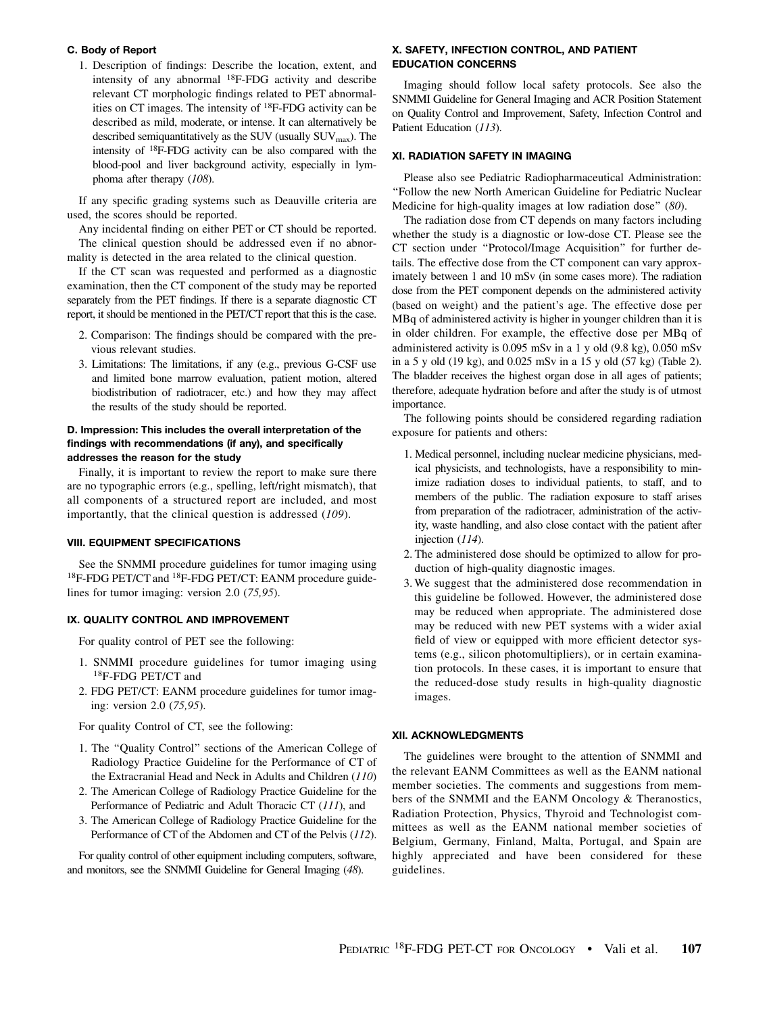# C. Body of Report

1. Description of findings: Describe the location, extent, and intensity of any abnormal 18F-FDG activity and describe relevant CT morphologic findings related to PET abnormalities on CT images. The intensity of 18F-FDG activity can be described as mild, moderate, or intense. It can alternatively be described semiquantitatively as the SUV (usually SUV<sub>max</sub>). The intensity of 18F-FDG activity can be also compared with the blood-pool and liver background activity, especially in lymphoma after therapy (108).

If any specific grading systems such as Deauville criteria are used, the scores should be reported.

Any incidental finding on either PET or CT should be reported. The clinical question should be addressed even if no abnormality is detected in the area related to the clinical question.

If the CT scan was requested and performed as a diagnostic examination, then the CT component of the study may be reported separately from the PET findings. If there is a separate diagnostic CT report, it should be mentioned in the PET/CT report that this is the case.

- 2. Comparison: The findings should be compared with the previous relevant studies.
- 3. Limitations: The limitations, if any (e.g., previous G-CSF use and limited bone marrow evaluation, patient motion, altered biodistribution of radiotracer, etc.) and how they may affect the results of the study should be reported.

# D. Impression: This includes the overall interpretation of the findings with recommendations (if any), and specifically addresses the reason for the study

Finally, it is important to review the report to make sure there are no typographic errors (e.g., spelling, left/right mismatch), that all components of a structured report are included, and most importantly, that the clinical question is addressed (109).

#### VIII. EQUIPMENT SPECIFICATIONS

See the SNMMI procedure guidelines for tumor imaging using 18F-FDG PET/CT and 18F-FDG PET/CT: EANM procedure guidelines for tumor imaging: version 2.0 (75,95).

# IX. QUALITY CONTROL AND IMPROVEMENT

For quality control of PET see the following:

- 1. SNMMI procedure guidelines for tumor imaging using 18F-FDG PET/CT and
- 2. FDG PET/CT: EANM procedure guidelines for tumor imaging: version 2.0 (75,95).

For quality Control of CT, see the following:

- 1. The ''Quality Control'' sections of the American College of Radiology Practice Guideline for the Performance of CT of the Extracranial Head and Neck in Adults and Children (110)
- 2. The American College of Radiology Practice Guideline for the Performance of Pediatric and Adult Thoracic CT (111), and
- 3. The American College of Radiology Practice Guideline for the Performance of CT of the Abdomen and CT of the Pelvis (112).

For quality control of other equipment including computers, software, and monitors, see the SNMMI Guideline for General Imaging (48).

# X. SAFETY, INFECTION CONTROL, AND PATIENT EDUCATION CONCERNS

Imaging should follow local safety protocols. See also the SNMMI Guideline for General Imaging and ACR Position Statement on Quality Control and Improvement, Safety, Infection Control and Patient Education (113).

# XI. RADIATION SAFETY IN IMAGING

Please also see Pediatric Radiopharmaceutical Administration: ''Follow the new North American Guideline for Pediatric Nuclear Medicine for high-quality images at low radiation dose" (80).

The radiation dose from CT depends on many factors including whether the study is a diagnostic or low-dose CT. Please see the CT section under ''Protocol/Image Acquisition'' for further details. The effective dose from the CT component can vary approximately between 1 and 10 mSv (in some cases more). The radiation dose from the PET component depends on the administered activity (based on weight) and the patient's age. The effective dose per MBq of administered activity is higher in younger children than it is in older children. For example, the effective dose per MBq of administered activity is 0.095 mSv in a 1 y old (9.8 kg), 0.050 mSv in a 5 y old (19 kg), and 0.025 mSv in a 15 y old (57 kg) (Table 2). The bladder receives the highest organ dose in all ages of patients; therefore, adequate hydration before and after the study is of utmost importance.

The following points should be considered regarding radiation exposure for patients and others:

- 1. Medical personnel, including nuclear medicine physicians, medical physicists, and technologists, have a responsibility to minimize radiation doses to individual patients, to staff, and to members of the public. The radiation exposure to staff arises from preparation of the radiotracer, administration of the activity, waste handling, and also close contact with the patient after injection (114).
- 2. The administered dose should be optimized to allow for production of high-quality diagnostic images.
- 3. We suggest that the administered dose recommendation in this guideline be followed. However, the administered dose may be reduced when appropriate. The administered dose may be reduced with new PET systems with a wider axial field of view or equipped with more efficient detector systems (e.g., silicon photomultipliers), or in certain examination protocols. In these cases, it is important to ensure that the reduced-dose study results in high-quality diagnostic images.

#### XII. ACKNOWLEDGMENTS

The guidelines were brought to the attention of SNMMI and the relevant EANM Committees as well as the EANM national member societies. The comments and suggestions from members of the SNMMI and the EANM Oncology & Theranostics, Radiation Protection, Physics, Thyroid and Technologist committees as well as the EANM national member societies of Belgium, Germany, Finland, Malta, Portugal, and Spain are highly appreciated and have been considered for these guidelines.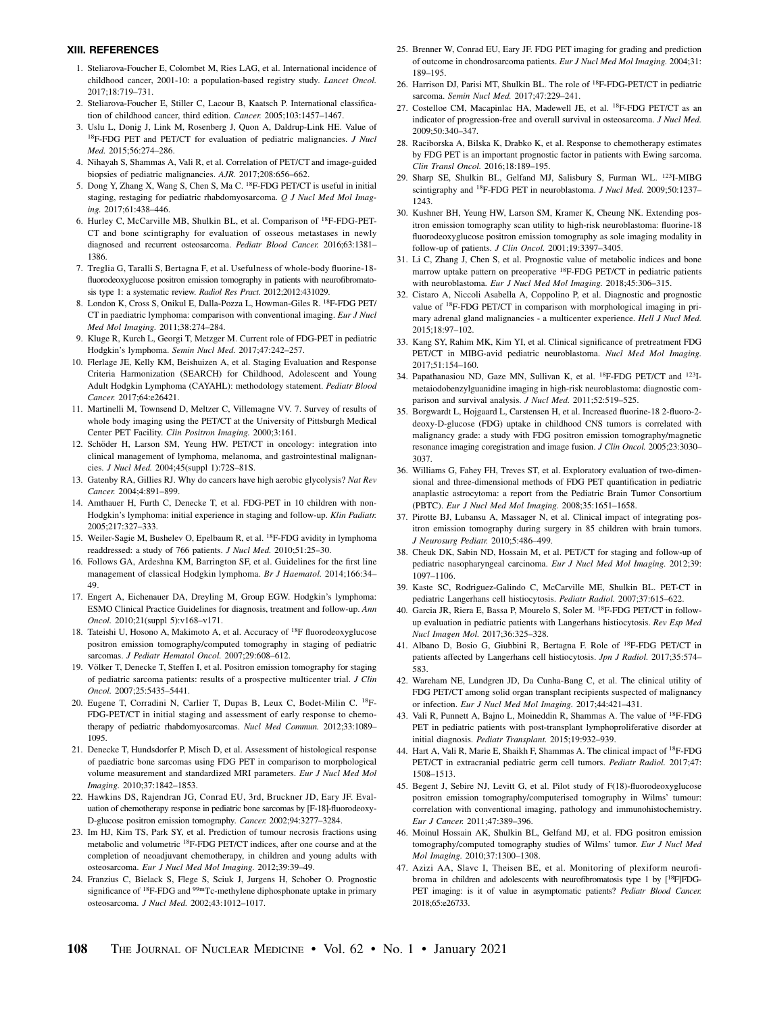#### XIII. REFERENCES

- 1. Steliarova-Foucher E, Colombet M, Ries LAG, et al. International incidence of childhood cancer, 2001-10: a population-based registry study. Lancet Oncol. 2017;18:719–731.
- 2. Steliarova-Foucher E, Stiller C, Lacour B, Kaatsch P. International classification of childhood cancer, third edition. Cancer. 2005;103:1457–1467.
- 3. Uslu L, Donig J, Link M, Rosenberg J, Quon A, Daldrup-Link HE. Value of <sup>18</sup>F-FDG PET and PET/CT for evaluation of pediatric malignancies. *J Nucl* Med. 2015;56:274–286.
- 4. Nihayah S, Shammas A, Vali R, et al. Correlation of PET/CT and image-guided biopsies of pediatric malignancies. AJR. 2017;208:656–662.
- 5. Dong Y, Zhang X, Wang S, Chen S, Ma C. 18F-FDG PET/CT is useful in initial staging, restaging for pediatric rhabdomyosarcoma. Q J Nucl Med Mol Imaging. 2017;61:438–446.
- 6. Hurley C, McCarville MB, Shulkin BL, et al. Comparison of 18F-FDG-PET-CT and bone scintigraphy for evaluation of osseous metastases in newly diagnosed and recurrent osteosarcoma. Pediatr Blood Cancer. 2016;63:1381– 1386.
- 7. Treglia G, Taralli S, Bertagna F, et al. Usefulness of whole-body fluorine-18 fluorodeoxyglucose positron emission tomography in patients with neurofibromatosis type 1: a systematic review. Radiol Res Pract. 2012;2012:431029.
- 8. London K, Cross S, Onikul E, Dalla-Pozza L, Howman-Giles R. 18F-FDG PET/ CT in paediatric lymphoma: comparison with conventional imaging. *Eur J Nucl* Med Mol Imaging. 2011;38:274–284.
- 9. Kluge R, Kurch L, Georgi T, Metzger M. Current role of FDG-PET in pediatric Hodgkin's lymphoma. Semin Nucl Med. 2017;47:242–257.
- 10. Flerlage JE, Kelly KM, Beishuizen A, et al. Staging Evaluation and Response Criteria Harmonization (SEARCH) for Childhood, Adolescent and Young Adult Hodgkin Lymphoma (CAYAHL): methodology statement. Pediatr Blood Cancer. 2017;64:e26421.
- 11. Martinelli M, Townsend D, Meltzer C, Villemagne VV. 7. Survey of results of whole body imaging using the PET/CT at the University of Pittsburgh Medical Center PET Facility. Clin Positron Imaging. 2000;3:161.
- 12. Schöder H, Larson SM, Yeung HW. PET/CT in oncology: integration into clinical management of lymphoma, melanoma, and gastrointestinal malignancies. J Nucl Med. 2004;45(suppl 1):72S–81S.
- 13. Gatenby RA, Gillies RJ. Why do cancers have high aerobic glycolysis? Nat Rev Cancer. 2004;4:891–899.
- 14. Amthauer H, Furth C, Denecke T, et al. FDG-PET in 10 children with non-Hodgkin's lymphoma: initial experience in staging and follow-up. Klin Padiatr. 2005;217:327–333.
- 15. Weiler-Sagie M, Bushelev O, Epelbaum R, et al. 18F-FDG avidity in lymphoma readdressed: a study of 766 patients. J Nucl Med. 2010;51:25–30.
- 16. Follows GA, Ardeshna KM, Barrington SF, et al. Guidelines for the first line management of classical Hodgkin lymphoma. Br J Haematol. 2014;166:34– 49.
- 17. Engert A, Eichenauer DA, Dreyling M, Group EGW. Hodgkin's lymphoma: ESMO Clinical Practice Guidelines for diagnosis, treatment and follow-up. Ann Oncol. 2010;21(suppl 5):v168–v171.
- 18. Tateishi U, Hosono A, Makimoto A, et al. Accuracy of 18F fluorodeoxyglucose positron emission tomography/computed tomography in staging of pediatric sarcomas. J Pediatr Hematol Oncol. 2007;29:608-612.
- 19. Völker T, Denecke T, Steffen I, et al. Positron emission tomography for staging of pediatric sarcoma patients: results of a prospective multicenter trial. J Clin Oncol. 2007;25:5435–5441.
- 20. Eugene T, Corradini N, Carlier T, Dupas B, Leux C, Bodet-Milin C. 18F-FDG-PET/CT in initial staging and assessment of early response to chemotherapy of pediatric rhabdomyosarcomas. Nucl Med Commun. 2012;33:1089– 1095.
- 21. Denecke T, Hundsdorfer P, Misch D, et al. Assessment of histological response of paediatric bone sarcomas using FDG PET in comparison to morphological volume measurement and standardized MRI parameters. Eur J Nucl Med Mol Imaging. 2010;37:1842–1853.
- 22. Hawkins DS, Rajendran JG, Conrad EU, 3rd, Bruckner JD, Eary JF. Evaluation of chemotherapy response in pediatric bone sarcomas by [F-18]-fluorodeoxy-D-glucose positron emission tomography. Cancer. 2002;94:3277–3284.
- 23. Im HJ, Kim TS, Park SY, et al. Prediction of tumour necrosis fractions using metabolic and volumetric 18F-FDG PET/CT indices, after one course and at the completion of neoadjuvant chemotherapy, in children and young adults with osteosarcoma. Eur J Nucl Med Mol Imaging. 2012;39:39–49.
- 24. Franzius C, Bielack S, Flege S, Sciuk J, Jurgens H, Schober O. Prognostic significance of 18F-FDG and 99mTc-methylene diphosphonate uptake in primary osteosarcoma. J Nucl Med. 2002;43:1012–1017.
- 25. Brenner W, Conrad EU, Eary JF. FDG PET imaging for grading and prediction of outcome in chondrosarcoma patients. Eur J Nucl Med Mol Imaging. 2004;31: 189–195.
- 26. Harrison DJ, Parisi MT, Shulkin BL. The role of 18F-FDG-PET/CT in pediatric sarcoma. Semin Nucl Med. 2017;47:229–241.
- 27. Costelloe CM, Macapinlac HA, Madewell JE, et al. 18F-FDG PET/CT as an indicator of progression-free and overall survival in osteosarcoma. J Nucl Med. 2009;50:340–347.
- 28. Raciborska A, Bilska K, Drabko K, et al. Response to chemotherapy estimates by FDG PET is an important prognostic factor in patients with Ewing sarcoma. Clin Transl Oncol. 2016;18:189–195.
- 29. Sharp SE, Shulkin BL, Gelfand MJ, Salisbury S, Furman WL. 123I-MIBG scintigraphy and <sup>18</sup>F-FDG PET in neuroblastoma. J Nucl Med. 2009;50:1237-1243.
- 30. Kushner BH, Yeung HW, Larson SM, Kramer K, Cheung NK. Extending positron emission tomography scan utility to high-risk neuroblastoma: fluorine-18 fluorodeoxyglucose positron emission tomography as sole imaging modality in follow-up of patients. J Clin Oncol. 2001;19:3397–3405.
- 31. Li C, Zhang J, Chen S, et al. Prognostic value of metabolic indices and bone marrow uptake pattern on preoperative 18F-FDG PET/CT in pediatric patients with neuroblastoma. Eur J Nucl Med Mol Imaging. 2018;45:306-315.
- 32. Cistaro A, Niccoli Asabella A, Coppolino P, et al. Diagnostic and prognostic value of 18F-FDG PET/CT in comparison with morphological imaging in primary adrenal gland malignancies - a multicenter experience. Hell J Nucl Med. 2015;18:97–102.
- 33. Kang SY, Rahim MK, Kim YI, et al. Clinical significance of pretreatment FDG PET/CT in MIBG-avid pediatric neuroblastoma. Nucl Med Mol Imaging. 2017;51:154–160.
- 34. Papathanasiou ND, Gaze MN, Sullivan K, et al. 18F-FDG PET/CT and 123Imetaiodobenzylguanidine imaging in high-risk neuroblastoma: diagnostic comparison and survival analysis. J Nucl Med. 2011;52:519-525.
- 35. Borgwardt L, Hojgaard L, Carstensen H, et al. Increased fluorine-18 2-fluoro-2 deoxy-D-glucose (FDG) uptake in childhood CNS tumors is correlated with malignancy grade: a study with FDG positron emission tomography/magnetic resonance imaging coregistration and image fusion. J Clin Oncol. 2005;23:3030– 3037.
- 36. Williams G, Fahey FH, Treves ST, et al. Exploratory evaluation of two-dimensional and three-dimensional methods of FDG PET quantification in pediatric anaplastic astrocytoma: a report from the Pediatric Brain Tumor Consortium (PBTC). Eur J Nucl Med Mol Imaging. 2008;35:1651–1658.
- 37. Pirotte BJ, Lubansu A, Massager N, et al. Clinical impact of integrating positron emission tomography during surgery in 85 children with brain tumors. J Neurosurg Pediatr. 2010;5:486–499.
- 38. Cheuk DK, Sabin ND, Hossain M, et al. PET/CT for staging and follow-up of pediatric nasopharyngeal carcinoma. Eur J Nucl Med Mol Imaging. 2012;39: 1097–1106.
- 39. Kaste SC, Rodriguez-Galindo C, McCarville ME, Shulkin BL. PET-CT in pediatric Langerhans cell histiocytosis. Pediatr Radiol. 2007;37:615–622.
- 40. Garcia JR, Riera E, Bassa P, Mourelo S, Soler M. 18F-FDG PET/CT in followup evaluation in pediatric patients with Langerhans histiocytosis. Rev Esp Med Nucl Imagen Mol. 2017;36:325–328.
- 41. Albano D, Bosio G, Giubbini R, Bertagna F. Role of 18F-FDG PET/CT in patients affected by Langerhans cell histiocytosis. Jpn J Radiol. 2017;35:574– 583.
- 42. Wareham NE, Lundgren JD, Da Cunha-Bang C, et al. The clinical utility of FDG PET/CT among solid organ transplant recipients suspected of malignancy or infection. Eur J Nucl Med Mol Imaging. 2017;44:421–431.
- 43. Vali R, Punnett A, Bajno L, Moineddin R, Shammas A. The value of 18F-FDG PET in pediatric patients with post-transplant lymphoproliferative disorder at initial diagnosis. Pediatr Transplant. 2015;19:932–939.
- 44. Hart A, Vali R, Marie E, Shaikh F, Shammas A. The clinical impact of 18F-FDG PET/CT in extracranial pediatric germ cell tumors. Pediatr Radiol. 2017;47: 1508–1513.
- 45. Begent J, Sebire NJ, Levitt G, et al. Pilot study of F(18)-fluorodeoxyglucose positron emission tomography/computerised tomography in Wilms' tumour: correlation with conventional imaging, pathology and immunohistochemistry. Eur J Cancer. 2011;47:389–396.
- 46. Moinul Hossain AK, Shulkin BL, Gelfand MJ, et al. FDG positron emission tomography/computed tomography studies of Wilms' tumor. Eur J Nucl Med Mol Imaging. 2010;37:1300–1308.
- 47. Azizi AA, Slavc I, Theisen BE, et al. Monitoring of plexiform neurofibroma in children and adolescents with neurofibromatosis type 1 by [18F]FDG-PET imaging: is it of value in asymptomatic patients? Pediatr Blood Cancer. 2018;65:e26733.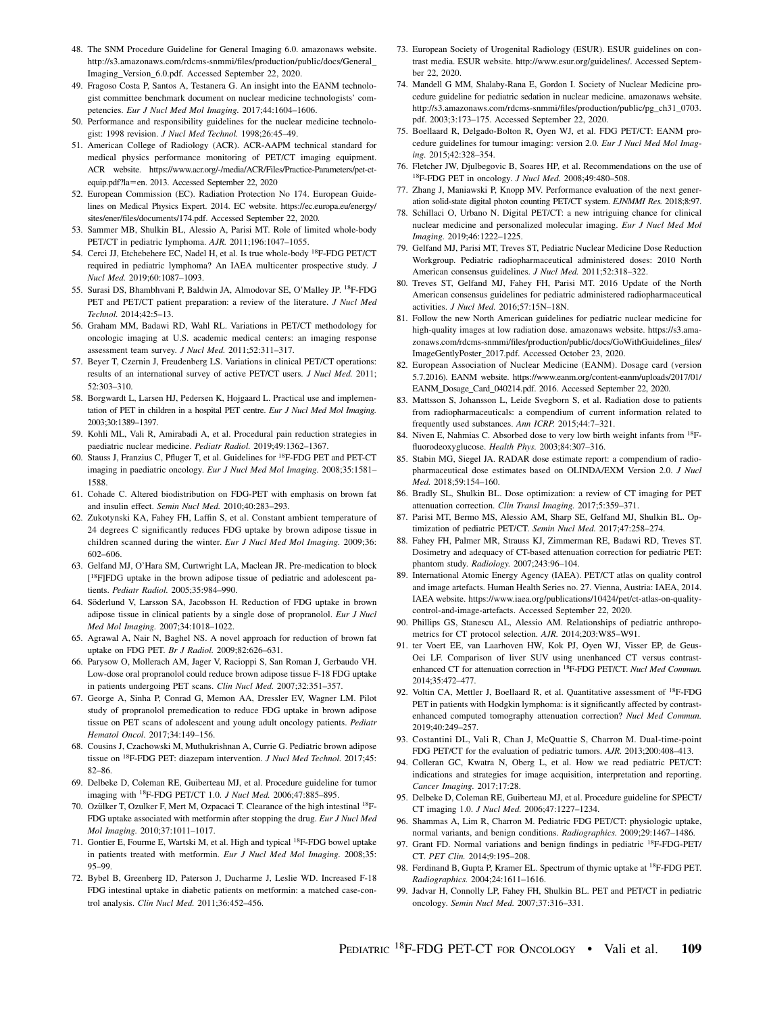- 48. The SNM Procedure Guideline for General Imaging 6.0. amazonaws website. [http://s3.amazonaws.com/rdcms-snmmi/files/production/public/docs/General\\_](http://s3.amazonaws.com/rdcms-snmmi/files/production/public/docs/General_Imaging_Version_6.0.pdf) [Imaging\\_Version\\_6.0.pdf](http://s3.amazonaws.com/rdcms-snmmi/files/production/public/docs/General_Imaging_Version_6.0.pdf). Accessed September 22, 2020.
- 49. Fragoso Costa P, Santos A, Testanera G. An insight into the EANM technologist committee benchmark document on nuclear medicine technologists' competencies. Eur J Nucl Med Mol Imaging. 2017;44:1604–1606.
- 50. Performance and responsibility guidelines for the nuclear medicine technologist: 1998 revision. J Nucl Med Technol. 1998;26:45–49.
- 51. American College of Radiology (ACR). ACR-AAPM technical standard for medical physics performance monitoring of PET/CT imaging equipment. ACR website. [https://www.acr.org/-/media/ACR/Files/Practice-Parameters/pet-ct](https://www.acr.org/-/media/ACR/Files/Practice-Parameters/pet-ct-equip.pdf?la=en)[equip.pdf?la](https://www.acr.org/-/media/ACR/Files/Practice-Parameters/pet-ct-equip.pdf?la=en)=[en](https://www.acr.org/-/media/ACR/Files/Practice-Parameters/pet-ct-equip.pdf?la=en). 2013. Accessed September 22, 2020
- 52. European Commission (EC). Radiation Protection No 174. European Guidelines on Medical Physics Expert. 2014. EC website. [https://ec.europa.eu/energy/](https://ec.europa.eu/energy/sites/ener/files/documents/174.pdf) [sites/ener/files/documents/174.pdf.](https://ec.europa.eu/energy/sites/ener/files/documents/174.pdf) Accessed September 22, 2020.
- 53. Sammer MB, Shulkin BL, Alessio A, Parisi MT. Role of limited whole-body PET/CT in pediatric lymphoma. AJR. 2011;196:1047–1055.
- 54. Cerci JJ, Etchebehere EC, Nadel H, et al. Is true whole-body 18F-FDG PET/CT required in pediatric lymphoma? An IAEA multicenter prospective study. J Nucl Med. 2019;60:1087–1093.
- 55. Surasi DS, Bhambhvani P, Baldwin JA, Almodovar SE, O'Malley JP. 18F-FDG PET and PET/CT patient preparation: a review of the literature. J Nucl Med Technol. 2014;42:5–13.
- 56. Graham MM, Badawi RD, Wahl RL. Variations in PET/CT methodology for oncologic imaging at U.S. academic medical centers: an imaging response assessment team survey. J Nucl Med. 2011;52:311-317.
- 57. Beyer T, Czernin J, Freudenberg LS. Variations in clinical PET/CT operations: results of an international survey of active PET/CT users. J Nucl Med. 2011; 52:303–310.
- 58. Borgwardt L, Larsen HJ, Pedersen K, Hojgaard L. Practical use and implementation of PET in children in a hospital PET centre. Eur J Nucl Med Mol Imaging. 2003;30:1389–1397.
- 59. Kohli ML, Vali R, Amirabadi A, et al. Procedural pain reduction strategies in paediatric nuclear medicine. Pediatr Radiol. 2019;49:1362–1367.
- 60. Stauss J, Franzius C, Pfluger T, et al. Guidelines for 18F-FDG PET and PET-CT imaging in paediatric oncology. Eur J Nucl Med Mol Imaging. 2008;35:1581– 1588.
- 61. Cohade C. Altered biodistribution on FDG-PET with emphasis on brown fat and insulin effect. Semin Nucl Med. 2010;40:283–293.
- 62. Zukotynski KA, Fahey FH, Laffin S, et al. Constant ambient temperature of 24 degrees C significantly reduces FDG uptake by brown adipose tissue in children scanned during the winter. Eur J Nucl Med Mol Imaging. 2009;36: 602–606.
- 63. Gelfand MJ, O'Hara SM, Curtwright LA, Maclean JR. Pre-medication to block [18F]FDG uptake in the brown adipose tissue of pediatric and adolescent patients. Pediatr Radiol. 2005;35:984–990.
- 64. Söderlund V, Larsson SA, Jacobsson H. Reduction of FDG uptake in brown adipose tissue in clinical patients by a single dose of propranolol. Eur J Nucl Med Mol Imaging. 2007;34:1018–1022.
- 65. Agrawal A, Nair N, Baghel NS. A novel approach for reduction of brown fat uptake on FDG PET. Br J Radiol. 2009;82:626–631.
- 66. Parysow O, Mollerach AM, Jager V, Racioppi S, San Roman J, Gerbaudo VH. Low-dose oral propranolol could reduce brown adipose tissue F-18 FDG uptake in patients undergoing PET scans. Clin Nucl Med. 2007;32:351–357.
- 67. George A, Sinha P, Conrad G, Memon AA, Dressler EV, Wagner LM. Pilot study of propranolol premedication to reduce FDG uptake in brown adipose tissue on PET scans of adolescent and young adult oncology patients. Pediatr Hematol Oncol. 2017;34:149–156.
- 68. Cousins J, Czachowski M, Muthukrishnan A, Currie G. Pediatric brown adipose tissue on 18F-FDG PET: diazepam intervention. J Nucl Med Technol. 2017;45: 82–86.
- 69. Delbeke D, Coleman RE, Guiberteau MJ, et al. Procedure guideline for tumor imaging with 18F-FDG PET/CT 1.0. J Nucl Med. 2006;47:885–895.
- 70. Ozülker T, Ozulker F, Mert M, Ozpacaci T. Clearance of the high intestinal <sup>18</sup>F-FDG uptake associated with metformin after stopping the drug. Eur J Nucl Med Mol Imaging. 2010;37:1011–1017.
- 71. Gontier E, Fourme E, Wartski M, et al. High and typical 18F-FDG bowel uptake in patients treated with metformin. Eur J Nucl Med Mol Imaging. 2008;35: 95–99.
- 72. Bybel B, Greenberg ID, Paterson J, Ducharme J, Leslie WD. Increased F-18 FDG intestinal uptake in diabetic patients on metformin: a matched case-control analysis. Clin Nucl Med. 2011;36:452–456.
- 73. European Society of Urogenital Radiology (ESUR). ESUR guidelines on contrast media. ESUR website. [http://www.esur.org/guidelines/.](http://www.esur.org/guidelines/) Accessed September 22, 2020.
- 74. Mandell G MM, Shalaby-Rana E, Gordon I. Society of Nuclear Medicine procedure guideline for pediatric sedation in nuclear medicine. amazonaws website. [http://s3.amazonaws.com/rdcms-snmmi/files/production/public/pg\\_ch31\\_0703.](http://s3.amazonaws.com/rdcms-snmmi/files/production/public/pg_ch31_0703.pdf) [pdf.](http://s3.amazonaws.com/rdcms-snmmi/files/production/public/pg_ch31_0703.pdf) 2003;3:173–175. Accessed September 22, 2020.
- 75. Boellaard R, Delgado-Bolton R, Oyen WJ, et al. FDG PET/CT: EANM procedure guidelines for tumour imaging: version 2.0. Eur J Nucl Med Mol Imaging. 2015;42:328–354.
- 76. Fletcher JW, Djulbegovic B, Soares HP, et al. Recommendations on the use of 18F-FDG PET in oncology. J Nucl Med. 2008;49:480–508.
- 77. Zhang J, Maniawski P, Knopp MV. Performance evaluation of the next generation solid-state digital photon counting PET/CT system. EJNMMI Res. 2018;8:97.
- 78. Schillaci O, Urbano N. Digital PET/CT: a new intriguing chance for clinical nuclear medicine and personalized molecular imaging. Eur J Nucl Med Mol Imaging. 2019;46:1222–1225.
- 79. Gelfand MJ, Parisi MT, Treves ST, Pediatric Nuclear Medicine Dose Reduction Workgroup. Pediatric radiopharmaceutical administered doses: 2010 North American consensus guidelines. J Nucl Med. 2011;52:318–322.
- 80. Treves ST, Gelfand MJ, Fahey FH, Parisi MT. 2016 Update of the North American consensus guidelines for pediatric administered radiopharmaceutical activities. J Nucl Med. 2016;57:15N–18N.
- 81. Follow the new North American guidelines for pediatric nuclear medicine for high-quality images at low radiation dose. amazonaws website. [https://s3.ama](https://s3.amazonaws.com/rdcms-snmmi/files/production/public/docs/GoWithGuidelines_files/ImageGentlyPoster_2017.pdf)[zonaws.com/rdcms-snmmi/files/production/public/docs/GoWithGuidelines\\_files/](https://s3.amazonaws.com/rdcms-snmmi/files/production/public/docs/GoWithGuidelines_files/ImageGentlyPoster_2017.pdf) [ImageGentlyPoster\\_2017.pdf.](https://s3.amazonaws.com/rdcms-snmmi/files/production/public/docs/GoWithGuidelines_files/ImageGentlyPoster_2017.pdf) Accessed October 23, 2020.
- 82. European Association of Nuclear Medicine (EANM). Dosage card (version 5.7.2016). EANM website. [https://www.eanm.org/content-eanm/uploads/2017/01/](https://www.eanm.org/content-eanm/uploads/2017/01/EANM_Dosage_Card_040214.pdf) [EANM\\_Dosage\\_Card\\_040214.pdf](https://www.eanm.org/content-eanm/uploads/2017/01/EANM_Dosage_Card_040214.pdf). 2016. Accessed September 22, 2020.
- 83. Mattsson S, Johansson L, Leide Svegborn S, et al. Radiation dose to patients from radiopharmaceuticals: a compendium of current information related to frequently used substances. Ann ICRP. 2015;44:7–321.
- 84. Niven E, Nahmias C. Absorbed dose to very low birth weight infants from 18Ffluorodeoxyglucose. Health Phys. 2003;84:307–316.
- 85. Stabin MG, Siegel JA. RADAR dose estimate report: a compendium of radiopharmaceutical dose estimates based on OLINDA/EXM Version 2.0. J Nucl Med. 2018;59:154–160.
- 86. Bradly SL, Shulkin BL. Dose optimization: a review of CT imaging for PET attenuation correction. Clin Transl Imaging. 2017;5:359–371.
- 87. Parisi MT, Bermo MS, Alessio AM, Sharp SE, Gelfand MJ, Shulkin BL. Optimization of pediatric PET/CT. Semin Nucl Med. 2017;47:258–274.
- 88. Fahey FH, Palmer MR, Strauss KJ, Zimmerman RE, Badawi RD, Treves ST. Dosimetry and adequacy of CT-based attenuation correction for pediatric PET: phantom study. Radiology. 2007;243:96–104.
- 89. International Atomic Energy Agency (IAEA). PET/CT atlas on quality control and image artefacts. Human Health Series no. 27. Vienna, Austria: IAEA, 2014. IAEA website. [https://www.iaea.org/publications/10424/pet/ct-atlas-on-quality](https://www.iaea.org/publications/10424/pet/ct-atlas-on-quality-control-and-image-artefacts)[control-and-image-artefacts.](https://www.iaea.org/publications/10424/pet/ct-atlas-on-quality-control-and-image-artefacts) Accessed September 22, 2020.
- 90. Phillips GS, Stanescu AL, Alessio AM. Relationships of pediatric anthropometrics for CT protocol selection. AJR. 2014;203:W85–W91.
- 91. ter Voert EE, van Laarhoven HW, Kok PJ, Oyen WJ, Visser EP, de Geus-Oei LF. Comparison of liver SUV using unenhanced CT versus contrastenhanced CT for attenuation correction in <sup>18</sup>F-FDG PET/CT. Nucl Med Commun. 2014;35:472–477.
- 92. Voltin CA, Mettler J, Boellaard R, et al. Quantitative assessment of 18F-FDG PET in patients with Hodgkin lymphoma: is it significantly affected by contrastenhanced computed tomography attenuation correction? Nucl Med Commun. 2019;40:249–257.
- 93. Costantini DL, Vali R, Chan J, McQuattie S, Charron M. Dual-time-point FDG PET/CT for the evaluation of pediatric tumors. AJR. 2013;200:408–413.
- 94. Colleran GC, Kwatra N, Oberg L, et al. How we read pediatric PET/CT: indications and strategies for image acquisition, interpretation and reporting. Cancer Imaging. 2017;17:28.
- 95. Delbeke D, Coleman RE, Guiberteau MJ, et al. Procedure guideline for SPECT/ CT imaging 1.0. J Nucl Med. 2006;47:1227–1234.
- 96. Shammas A, Lim R, Charron M. Pediatric FDG PET/CT: physiologic uptake, normal variants, and benign conditions. Radiographics. 2009;29:1467–1486.
- 97. Grant FD. Normal variations and benign findings in pediatric 18F-FDG-PET/ CT. PET Clin. 2014;9:195–208.
- 98. Ferdinand B, Gupta P, Kramer EL. Spectrum of thymic uptake at 18F-FDG PET. Radiographics. 2004;24:1611–1616.
- 99. Jadvar H, Connolly LP, Fahey FH, Shulkin BL. PET and PET/CT in pediatric oncology. Semin Nucl Med. 2007;37:316–331.